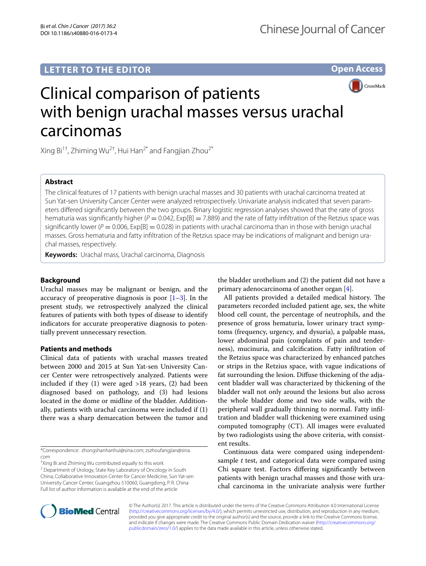## **LETTER TO THE EDITOR**

**Open Access**

CrossMark

# Clinical comparison of patients with benign urachal masses versus urachal carcinomas

Xing Bi<sup>1†</sup>, Zhiming Wu<sup>2†</sup>, Hui Han<sup>2\*</sup> and Fangjian Zhou<sup>2\*</sup>

## **Abstract**

The clinical features of 17 patients with benign urachal masses and 30 patients with urachal carcinoma treated at Sun Yat-sen University Cancer Center were analyzed retrospectively. Univariate analysis indicated that seven parameters differed significantly between the two groups. Binary logistic regression analyses showed that the rate of gross hematuria was significantly higher  $(P = 0.042, Exp[B] = 7.889)$  and the rate of fatty infiltration of the Retzius space was significantly lower ( $P = 0.006$ ,  $Exp[B] = 0.028$ ) in patients with urachal carcinoma than in those with benign urachal masses. Gross hematuria and fatty infiltration of the Retzius space may be indications of malignant and benign urachal masses, respectively.

**Keywords:** Urachal mass, Urachal carcinoma, Diagnosis

## **Background**

Urachal masses may be malignant or benign, and the accuracy of preoperative diagnosis is poor  $[1-3]$  $[1-3]$  $[1-3]$ . In the present study, we retrospectively analyzed the clinical features of patients with both types of disease to identify indicators for accurate preoperative diagnosis to potentially prevent unnecessary resection.

### **Patients and methods**

Clinical data of patients with urachal masses treated between 2000 and 2015 at Sun Yat-sen University Cancer Center were retrospectively analyzed. Patients were included if they  $(1)$  were aged  $>18$  years,  $(2)$  had been diagnosed based on pathology, and (3) had lesions located in the dome or midline of the bladder. Additionally, patients with urachal carcinoma were included if (1) there was a sharp demarcation between the tumor and

\*Correspondence: zhongshanhanhui@sina.com; zszhoufangjian@sina. com

† Xing Bi and Zhiming Wu contributed equally to this work

<sup>2</sup> Department of Urology, State Key Laboratory of Oncology in South China, Collaborative Innovation Center for Cancer Medicine, Sun Yat-sen University Cancer Center, Guangzhou 510060, Guangdong, P. R. China Full list of author information is available at the end of the article

the bladder urothelium and (2) the patient did not have a primary adenocarcinoma of another organ [[4\]](#page-2-2).

All patients provided a detailed medical history. The parameters recorded included patient age, sex, the white blood cell count, the percentage of neutrophils, and the presence of gross hematuria, lower urinary tract symptoms (frequency, urgency, and dysuria), a palpable mass, lower abdominal pain (complaints of pain and tenderness), mucinuria, and calcification. Fatty infiltration of the Retzius space was characterized by enhanced patches or strips in the Retzius space, with vague indications of fat surrounding the lesion. Diffuse thickening of the adjacent bladder wall was characterized by thickening of the bladder wall not only around the lesions but also across the whole bladder dome and two side walls, with the peripheral wall gradually thinning to normal. Fatty infiltration and bladder wall thickening were examined using computed tomography (CT). All images were evaluated by two radiologists using the above criteria, with consistent results.

Continuous data were compared using independentsample *t* test, and categorical data were compared using Chi square test. Factors differing significantly between patients with benign urachal masses and those with urachal carcinoma in the univariate analysis were further



© The Author(s) 2017. This article is distributed under the terms of the Creative Commons Attribution 4.0 International License [\(http://creativecommons.org/licenses/by/4.0/\)](http://creativecommons.org/licenses/by/4.0/), which permits unrestricted use, distribution, and reproduction in any medium, provided you give appropriate credit to the original author(s) and the source, provide a link to the Creative Commons license, and indicate if changes were made. The Creative Commons Public Domain Dedication waiver ([http://creativecommons.org/](http://creativecommons.org/publicdomain/zero/1.0/) [publicdomain/zero/1.0/](http://creativecommons.org/publicdomain/zero/1.0/)) applies to the data made available in this article, unless otherwise stated.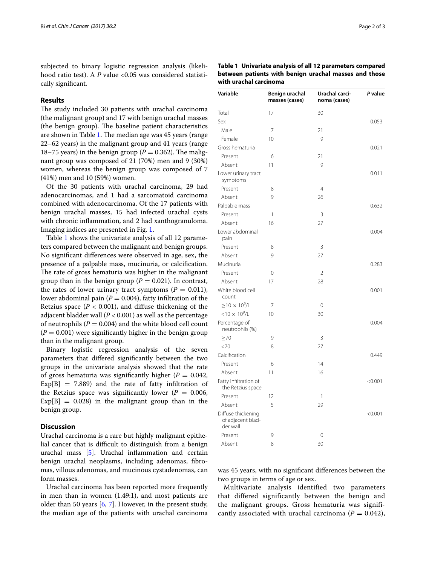subjected to binary logistic regression analysis (likelihood ratio test). A *P* value <0.05 was considered statistically significant.

## **Results**

The study included 30 patients with urachal carcinoma (the malignant group) and 17 with benign urachal masses (the benign group). The baseline patient characteristics are shown in Table [1](#page-1-0). The median age was 45 years (range 22–62 years) in the malignant group and 41 years (range 18–75 years) in the benign group ( $P = 0.362$ ). The malignant group was composed of 21 (70%) men and 9 (30%) women, whereas the benign group was composed of 7 (41%) men and 10 (59%) women.

Of the 30 patients with urachal carcinoma, 29 had adenocarcinomas, and 1 had a sarcomatoid carcinoma combined with adenocarcinoma. Of the 17 patients with benign urachal masses, 15 had infected urachal cysts with chronic inflammation, and 2 had xanthogranuloma. Imaging indices are presented in Fig. [1](#page-2-3).

Table [1](#page-1-0) shows the univariate analysis of all 12 parameters compared between the malignant and benign groups. No significant differences were observed in age, sex, the presence of a palpable mass, mucinuria, or calcification. The rate of gross hematuria was higher in the malignant group than in the benign group ( $P = 0.021$ ). In contrast, the rates of lower urinary tract symptoms  $(P = 0.011)$ , lower abdominal pain ( $P = 0.004$ ), fatty infiltration of the Retzius space  $(P < 0.001)$ , and diffuse thickening of the adjacent bladder wall  $(P < 0.001)$  as well as the percentage of neutrophils  $(P = 0.004)$  and the white blood cell count  $(P = 0.001)$  were significantly higher in the benign group than in the malignant group.

Binary logistic regression analysis of the seven parameters that differed significantly between the two groups in the univariate analysis showed that the rate of gross hematuria was significantly higher ( $P = 0.042$ ),  $Exp[B] = 7.889$  and the rate of fatty infiltration of the Retzius space was significantly lower ( $P = 0.006$ ,  $Exp[B] = 0.028$  in the malignant group than in the benign group.

#### **Discussion**

Urachal carcinoma is a rare but highly malignant epithelial cancer that is difficult to distinguish from a benign urachal mass [\[5](#page-2-4)]. Urachal inflammation and certain benign urachal neoplasms, including adenomas, fibromas, villous adenomas, and mucinous cystadenomas, can form masses.

Urachal carcinoma has been reported more frequently in men than in women (1.49:1), and most patients are older than 50 years [[6,](#page-2-5) [7\]](#page-2-6). However, in the present study, the median age of the patients with urachal carcinoma

<span id="page-1-0"></span>

| Table 1 Univariate analysis of all 12 parameters compared |  |
|-----------------------------------------------------------|--|
| between patients with benign urachal masses and those     |  |
| with urachal carcinoma                                    |  |

| Variable                                            | Benign urachal<br>masses (cases) | Urachal carci-<br>noma (cases) | P value |
|-----------------------------------------------------|----------------------------------|--------------------------------|---------|
| Total                                               | 17                               | 30                             |         |
| Sex                                                 |                                  |                                | 0.053   |
| Male                                                | 7                                | 21                             |         |
| Female                                              | 10                               | 9                              |         |
| Gross hematuria                                     |                                  |                                | 0.021   |
| Present                                             | 6                                | 21                             |         |
| Absent                                              | 11                               | 9                              |         |
| Lower urinary tract<br>symptoms                     |                                  |                                | 0.011   |
| Present                                             | 8                                | $\overline{4}$                 |         |
| Absent                                              | 9                                | 26                             |         |
| Palpable mass                                       |                                  |                                | 0.632   |
| Present                                             | 1                                | 3                              |         |
| Absent                                              | 16                               | 27                             |         |
| Lower abdominal<br>pain                             |                                  |                                | 0.004   |
| Present                                             | 8                                | 3                              |         |
| Absent                                              | 9                                | 27                             |         |
| Mucinuria                                           |                                  |                                | 0.283   |
| Present                                             | 0                                | 2                              |         |
| Absent                                              | 17                               | 28                             |         |
| White blood cell<br>count                           |                                  |                                | 0.001   |
| $\geq$ 10 $\times$ 10 <sup>9</sup> /L               | 7                                | 0                              |         |
| $<$ 10 $\times$ 10 <sup>9</sup> /L                  | 10                               | 30                             |         |
| Percentage of<br>neutrophils (%)                    |                                  |                                | 0.004   |
| $\geq 70$                                           | 9                                | 3                              |         |
| <70                                                 | 8                                | 27                             |         |
| Calcification                                       |                                  |                                | 0.449   |
| Present                                             | 6                                | 14                             |         |
| Absent                                              | 11                               | 16                             |         |
| Fatty infiltration of<br>the Retzius space          |                                  |                                | < 0.001 |
| Present                                             | 12                               | 1                              |         |
| Absent                                              | 5                                | 29                             |         |
| Diffuse thickening<br>of adjacent blad-<br>der wall |                                  |                                | < 0.001 |
| Present                                             | 9                                | 0                              |         |
| Absent                                              | 8                                | 30                             |         |

was 45 years, with no significant differences between the two groups in terms of age or sex.

Multivariate analysis identified two parameters that differed significantly between the benign and the malignant groups. Gross hematuria was significantly associated with urachal carcinoma ( $P = 0.042$ ),